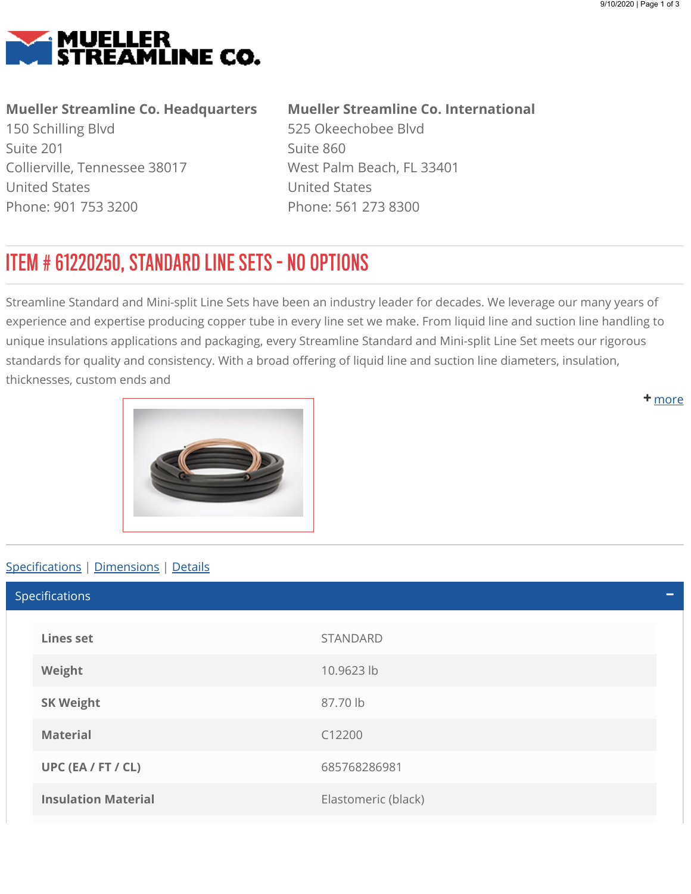<span id="page-0-0"></span>

## Mueller Streamline Co. Headquarters

150 Schilling Blvd Suite 201 Collierville, Tennessee 38017 United States Phone: 901 753 3200

## Mueller Streamline Co. International

525 Okeechobee Blvd Suite 860 West Palm Beach, FL 33401 United States Phone: 561 273 8300

## ITEM # 61220250, STANDARD LINE SETS - NO OPTIONS

Streamline Standard and Mini-split Line Sets have been an industry leader for decades. We leverage our many years of experience and expertise producing copper tube in every line set we make. From liquid line and suction line handling to unique insulations applications and packaging, every Streamline Standard and Mini-split Line Set meets our rigorous standards for quality and consistency. With a broad offering of liquid line and suction line diameters, insulation, thicknesses, custom ends and

<span id="page-0-1"></span>

## Specifications | [Dimensions](#page-1-0) | [Details](#page-1-1)

Lines set STANDARD Weight 10.9623 lb SK Weight 87.70 lb Material C12200 UPC (EA / FT / CL) 685768286981 **Insulation Material Elastomeric (black)** Specifications

**+** [m](#page-0-0)ore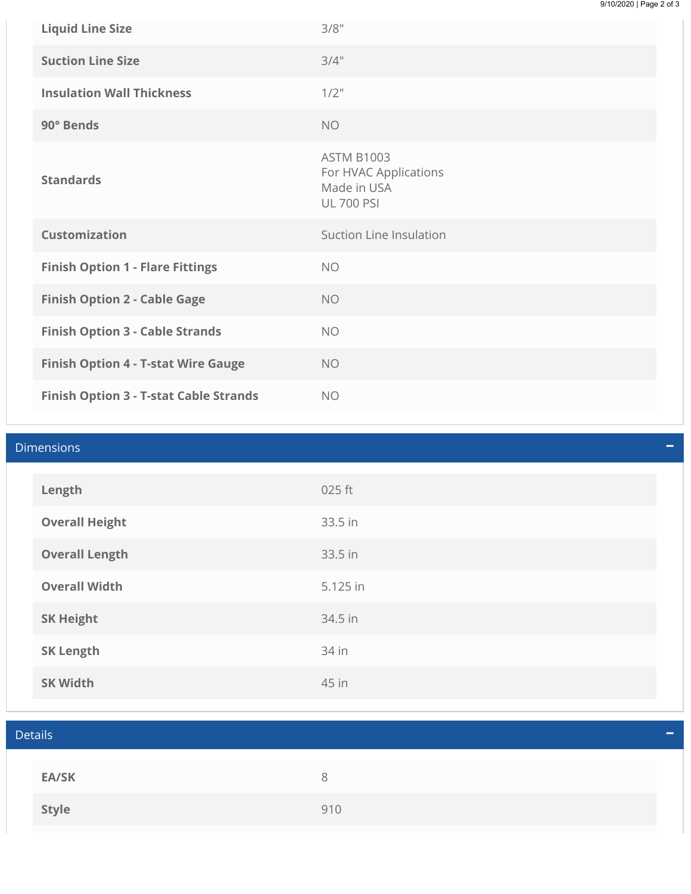| <b>Liquid Line Size</b>                    | 3/8"                                                                           |
|--------------------------------------------|--------------------------------------------------------------------------------|
| <b>Suction Line Size</b>                   | 3/4"                                                                           |
| <b>Insulation Wall Thickness</b>           | $1/2$ "                                                                        |
| 90° Bends                                  | <b>NO</b>                                                                      |
| <b>Standards</b>                           | <b>ASTM B1003</b><br>For HVAC Applications<br>Made in USA<br><b>UL 700 PSI</b> |
| <b>Customization</b>                       | Suction Line Insulation                                                        |
|                                            |                                                                                |
| <b>Finish Option 1 - Flare Fittings</b>    | <b>NO</b>                                                                      |
| <b>Finish Option 2 - Cable Gage</b>        | <b>NO</b>                                                                      |
| <b>Finish Option 3 - Cable Strands</b>     | <b>NO</b>                                                                      |
| <b>Finish Option 4 - T-stat Wire Gauge</b> | <b>NO</b>                                                                      |

<span id="page-1-1"></span><span id="page-1-0"></span>

| <b>Dimensions</b> |                       |          |  |
|-------------------|-----------------------|----------|--|
|                   |                       |          |  |
|                   | Length                | 025 ft   |  |
|                   | <b>Overall Height</b> | 33.5 in  |  |
|                   | <b>Overall Length</b> | 33.5 in  |  |
|                   | <b>Overall Width</b>  | 5.125 in |  |
|                   | <b>SK Height</b>      | 34.5 in  |  |
|                   | <b>SK Length</b>      | 34 in    |  |
|                   | <b>SK Width</b>       | 45 in    |  |

| <b>Details</b> |     | – |
|----------------|-----|---|
|                |     |   |
| <b>EA/SK</b>   | 8   |   |
| <b>Style</b>   | 910 |   |